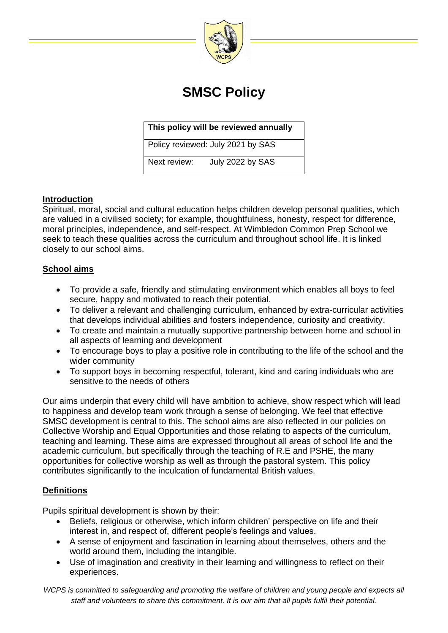

# **SMSC Policy**

## **This policy will be reviewed annually**

Policy reviewed: July 2021 by SAS

Next review: July 2022 by SAS

## **Introduction**

Spiritual, moral, social and cultural education helps children develop personal qualities, which are valued in a civilised society; for example, thoughtfulness, honesty, respect for difference, moral principles, independence, and self-respect. At Wimbledon Common Prep School we seek to teach these qualities across the curriculum and throughout school life. It is linked closely to our school aims.

#### **School aims**

- To provide a safe, friendly and stimulating environment which enables all boys to feel secure, happy and motivated to reach their potential.
- To deliver a relevant and challenging curriculum, enhanced by extra-curricular activities that develops individual abilities and fosters independence, curiosity and creativity.
- To create and maintain a mutually supportive partnership between home and school in all aspects of learning and development
- To encourage boys to play a positive role in contributing to the life of the school and the wider community
- To support boys in becoming respectful, tolerant, kind and caring individuals who are sensitive to the needs of others

Our aims underpin that every child will have ambition to achieve, show respect which will lead to happiness and develop team work through a sense of belonging. We feel that effective SMSC development is central to this. The school aims are also reflected in our policies on Collective Worship and Equal Opportunities and those relating to aspects of the curriculum, teaching and learning. These aims are expressed throughout all areas of school life and the academic curriculum, but specifically through the teaching of R.E and PSHE, the many opportunities for collective worship as well as through the pastoral system. This policy contributes significantly to the inculcation of fundamental British values.

# **Definitions**

Pupils spiritual development is shown by their:

- Beliefs, religious or otherwise, which inform children' perspective on life and their interest in, and respect of, different people's feelings and values.
- A sense of enjoyment and fascination in learning about themselves, others and the world around them, including the intangible.
- Use of imagination and creativity in their learning and willingness to reflect on their experiences.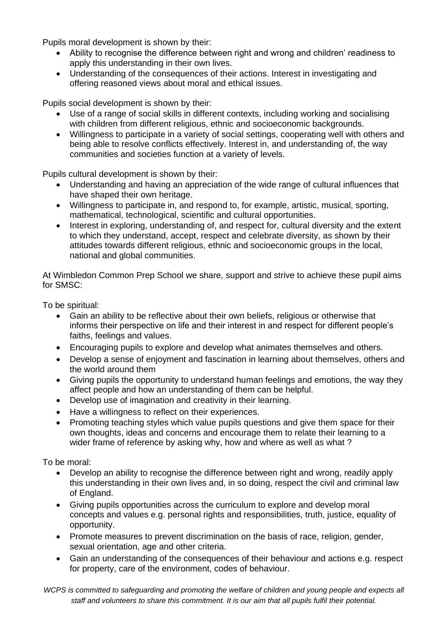Pupils moral development is shown by their:

- Ability to recognise the difference between right and wrong and children' readiness to apply this understanding in their own lives.
- Understanding of the consequences of their actions. Interest in investigating and offering reasoned views about moral and ethical issues.

Pupils social development is shown by their:

- Use of a range of social skills in different contexts, including working and socialising with children from different religious, ethnic and socioeconomic backgrounds.
- Willingness to participate in a variety of social settings, cooperating well with others and being able to resolve conflicts effectively. Interest in, and understanding of, the way communities and societies function at a variety of levels.

Pupils cultural development is shown by their:

- Understanding and having an appreciation of the wide range of cultural influences that have shaped their own heritage.
- Willingness to participate in, and respond to, for example, artistic, musical, sporting, mathematical, technological, scientific and cultural opportunities.
- Interest in exploring, understanding of, and respect for, cultural diversity and the extent to which they understand, accept, respect and celebrate diversity, as shown by their attitudes towards different religious, ethnic and socioeconomic groups in the local, national and global communities.

At Wimbledon Common Prep School we share, support and strive to achieve these pupil aims for SMSC:

To be spiritual:

- Gain an ability to be reflective about their own beliefs, religious or otherwise that informs their perspective on life and their interest in and respect for different people's faiths, feelings and values.
- Encouraging pupils to explore and develop what animates themselves and others.
- Develop a sense of enjoyment and fascination in learning about themselves, others and the world around them
- Giving pupils the opportunity to understand human feelings and emotions, the way they affect people and how an understanding of them can be helpful.
- Develop use of imagination and creativity in their learning.
- Have a willingness to reflect on their experiences.
- Promoting teaching styles which value pupils questions and give them space for their own thoughts, ideas and concerns and encourage them to relate their learning to a wider frame of reference by asking why, how and where as well as what?

To be moral:

- Develop an ability to recognise the difference between right and wrong, readily apply this understanding in their own lives and, in so doing, respect the civil and criminal law of England.
- Giving pupils opportunities across the curriculum to explore and develop moral concepts and values e.g. personal rights and responsibilities, truth, justice, equality of opportunity.
- Promote measures to prevent discrimination on the basis of race, religion, gender, sexual orientation, age and other criteria.
- Gain an understanding of the consequences of their behaviour and actions e.g. respect for property, care of the environment, codes of behaviour.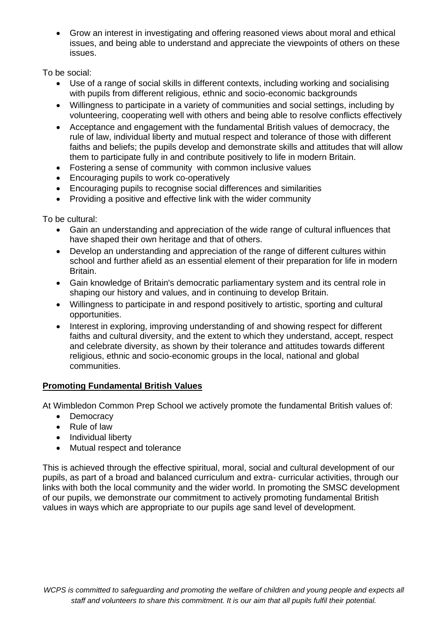• Grow an interest in investigating and offering reasoned views about moral and ethical issues, and being able to understand and appreciate the viewpoints of others on these issues.

To be social:

- Use of a range of social skills in different contexts, including working and socialising with pupils from different religious, ethnic and socio-economic backgrounds
- Willingness to participate in a variety of communities and social settings, including by volunteering, cooperating well with others and being able to resolve conflicts effectively
- Acceptance and engagement with the fundamental British values of democracy, the rule of law, individual liberty and mutual respect and tolerance of those with different faiths and beliefs; the pupils develop and demonstrate skills and attitudes that will allow them to participate fully in and contribute positively to life in modern Britain.
- Fostering a sense of community with common inclusive values
- Encouraging pupils to work co-operatively
- Encouraging pupils to recognise social differences and similarities
- Providing a positive and effective link with the wider community

To be cultural:

- Gain an understanding and appreciation of the wide range of cultural influences that have shaped their own heritage and that of others.
- Develop an understanding and appreciation of the range of different cultures within school and further afield as an essential element of their preparation for life in modern Britain.
- Gain knowledge of Britain's democratic parliamentary system and its central role in shaping our history and values, and in continuing to develop Britain.
- Willingness to participate in and respond positively to artistic, sporting and cultural opportunities.
- Interest in exploring, improving understanding of and showing respect for different faiths and cultural diversity, and the extent to which they understand, accept, respect and celebrate diversity, as shown by their tolerance and attitudes towards different religious, ethnic and socio-economic groups in the local, national and global communities.

# **Promoting Fundamental British Values**

At Wimbledon Common Prep School we actively promote the fundamental British values of:

- Democracy
- Rule of law
- Individual liberty
- Mutual respect and tolerance

This is achieved through the effective spiritual, moral, social and cultural development of our pupils, as part of a broad and balanced curriculum and extra- curricular activities, through our links with both the local community and the wider world. In promoting the SMSC development of our pupils, we demonstrate our commitment to actively promoting fundamental British values in ways which are appropriate to our pupils age sand level of development.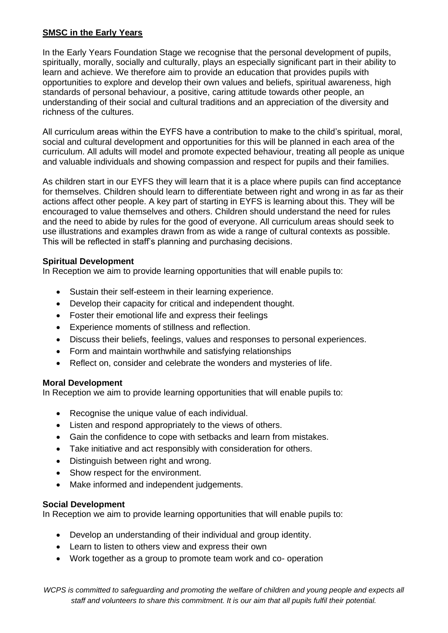### **SMSC in the Early Years**

In the Early Years Foundation Stage we recognise that the personal development of pupils, spiritually, morally, socially and culturally, plays an especially significant part in their ability to learn and achieve. We therefore aim to provide an education that provides pupils with opportunities to explore and develop their own values and beliefs, spiritual awareness, high standards of personal behaviour, a positive, caring attitude towards other people, an understanding of their social and cultural traditions and an appreciation of the diversity and richness of the cultures.

All curriculum areas within the EYFS have a contribution to make to the child's spiritual, moral, social and cultural development and opportunities for this will be planned in each area of the curriculum. All adults will model and promote expected behaviour, treating all people as unique and valuable individuals and showing compassion and respect for pupils and their families.

As children start in our EYFS they will learn that it is a place where pupils can find acceptance for themselves. Children should learn to differentiate between right and wrong in as far as their actions affect other people. A key part of starting in EYFS is learning about this. They will be encouraged to value themselves and others. Children should understand the need for rules and the need to abide by rules for the good of everyone. All curriculum areas should seek to use illustrations and examples drawn from as wide a range of cultural contexts as possible. This will be reflected in staff's planning and purchasing decisions.

#### **Spiritual Development**

In Reception we aim to provide learning opportunities that will enable pupils to:

- Sustain their self-esteem in their learning experience.
- Develop their capacity for critical and independent thought.
- Foster their emotional life and express their feelings
- Experience moments of stillness and reflection.
- Discuss their beliefs, feelings, values and responses to personal experiences.
- Form and maintain worthwhile and satisfying relationships
- Reflect on, consider and celebrate the wonders and mysteries of life.

#### **Moral Development**

In Reception we aim to provide learning opportunities that will enable pupils to:

- Recognise the unique value of each individual.
- Listen and respond appropriately to the views of others.
- Gain the confidence to cope with setbacks and learn from mistakes.
- Take initiative and act responsibly with consideration for others.
- Distinguish between right and wrong.
- Show respect for the environment.
- Make informed and independent judgements.

#### **Social Development**

In Reception we aim to provide learning opportunities that will enable pupils to:

- Develop an understanding of their individual and group identity.
- Learn to listen to others view and express their own
- Work together as a group to promote team work and co- operation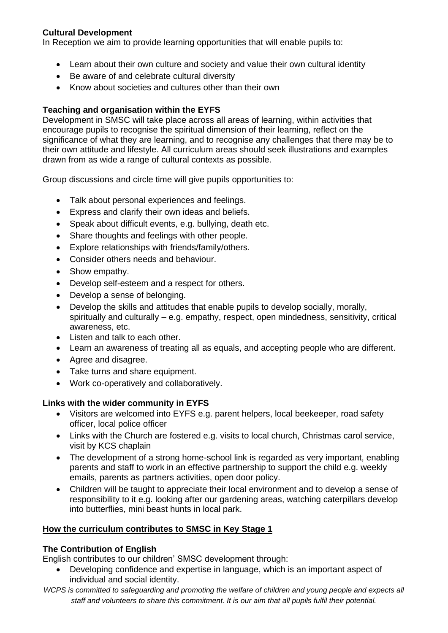### **Cultural Development**

In Reception we aim to provide learning opportunities that will enable pupils to:

- Learn about their own culture and society and value their own cultural identity
- Be aware of and celebrate cultural diversity
- Know about societies and cultures other than their own

## **Teaching and organisation within the EYFS**

Development in SMSC will take place across all areas of learning, within activities that encourage pupils to recognise the spiritual dimension of their learning, reflect on the significance of what they are learning, and to recognise any challenges that there may be to their own attitude and lifestyle. All curriculum areas should seek illustrations and examples drawn from as wide a range of cultural contexts as possible.

Group discussions and circle time will give pupils opportunities to:

- Talk about personal experiences and feelings.
- Express and clarify their own ideas and beliefs.
- Speak about difficult events, e.g. bullying, death etc.
- Share thoughts and feelings with other people.
- Explore relationships with friends/family/others.
- Consider others needs and behaviour.
- Show empathy.
- Develop self-esteem and a respect for others.
- Develop a sense of belonging.
- Develop the skills and attitudes that enable pupils to develop socially, morally, spiritually and culturally – e.g. empathy, respect, open mindedness, sensitivity, critical awareness, etc.
- Listen and talk to each other.
- Learn an awareness of treating all as equals, and accepting people who are different.
- Agree and disagree.
- Take turns and share equipment.
- Work co-operatively and collaboratively.

#### **Links with the wider community in EYFS**

- Visitors are welcomed into EYFS e.g. parent helpers, local beekeeper, road safety officer, local police officer
- Links with the Church are fostered e.g. visits to local church, Christmas carol service, visit by KCS chaplain
- The development of a strong home-school link is regarded as very important, enabling parents and staff to work in an effective partnership to support the child e.g. weekly emails, parents as partners activities, open door policy.
- Children will be taught to appreciate their local environment and to develop a sense of responsibility to it e.g. looking after our gardening areas, watching caterpillars develop into butterflies, mini beast hunts in local park.

#### **How the curriculum contributes to SMSC in Key Stage 1**

#### **The Contribution of English**

English contributes to our children' SMSC development through:

- Developing confidence and expertise in language, which is an important aspect of individual and social identity.
- *WCPS is committed to safeguarding and promoting the welfare of children and young people and expects all staff and volunteers to share this commitment. It is our aim that all pupils fulfil their potential.*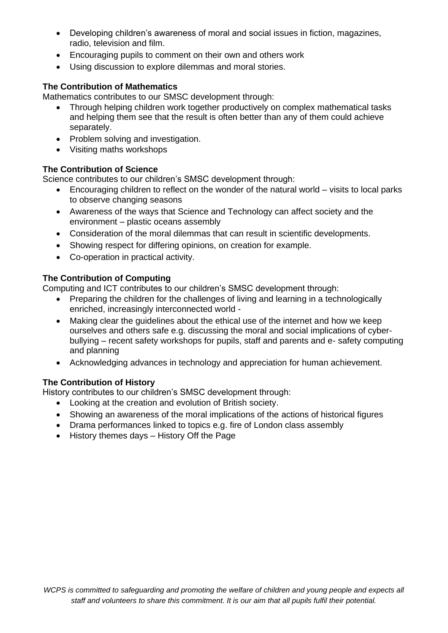- Developing children's awareness of moral and social issues in fiction, magazines, radio, television and film.
- Encouraging pupils to comment on their own and others work
- Using discussion to explore dilemmas and moral stories.

## **The Contribution of Mathematics**

Mathematics contributes to our SMSC development through:

- Through helping children work together productively on complex mathematical tasks and helping them see that the result is often better than any of them could achieve separately.
- Problem solving and investigation.
- Visiting maths workshops

#### **The Contribution of Science**

Science contributes to our children's SMSC development through:

- Encouraging children to reflect on the wonder of the natural world visits to local parks to observe changing seasons
- Awareness of the ways that Science and Technology can affect society and the environment – plastic oceans assembly
- Consideration of the moral dilemmas that can result in scientific developments.
- Showing respect for differing opinions, on creation for example.
- Co-operation in practical activity.

#### **The Contribution of Computing**

Computing and ICT contributes to our children's SMSC development through:

- Preparing the children for the challenges of living and learning in a technologically enriched, increasingly interconnected world -
- Making clear the guidelines about the ethical use of the internet and how we keep ourselves and others safe e.g. discussing the moral and social implications of cyberbullying – recent safety workshops for pupils, staff and parents and e- safety computing and planning
- Acknowledging advances in technology and appreciation for human achievement.

#### **The Contribution of History**

History contributes to our children's SMSC development through:

- Looking at the creation and evolution of British society.
- Showing an awareness of the moral implications of the actions of historical figures
- Drama performances linked to topics e.g. fire of London class assembly
- History themes days History Off the Page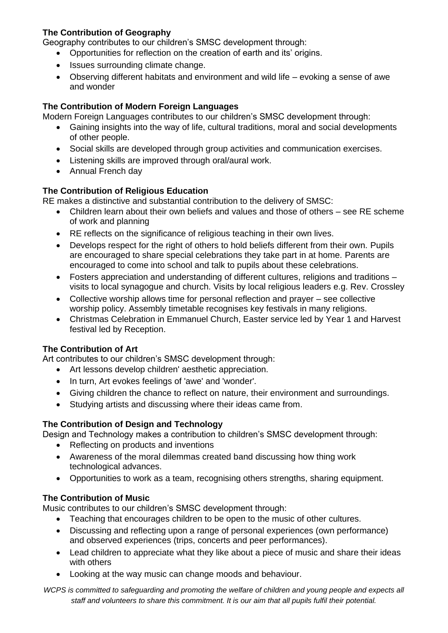## **The Contribution of Geography**

Geography contributes to our children's SMSC development through:

- Opportunities for reflection on the creation of earth and its' origins.
- Issues surrounding climate change.
- Observing different habitats and environment and wild life evoking a sense of awe and wonder

#### **The Contribution of Modern Foreign Languages**

Modern Foreign Languages contributes to our children's SMSC development through:

- Gaining insights into the way of life, cultural traditions, moral and social developments of other people.
- Social skills are developed through group activities and communication exercises.
- Listening skills are improved through oral/aural work.
- Annual French day

#### **The Contribution of Religious Education**

RE makes a distinctive and substantial contribution to the delivery of SMSC:

- Children learn about their own beliefs and values and those of others see RE scheme of work and planning
- RE reflects on the significance of religious teaching in their own lives.
- Develops respect for the right of others to hold beliefs different from their own. Pupils are encouraged to share special celebrations they take part in at home. Parents are encouraged to come into school and talk to pupils about these celebrations.
- Fosters appreciation and understanding of different cultures, religions and traditions visits to local synagogue and church. Visits by local religious leaders e.g. Rev. Crossley
- Collective worship allows time for personal reflection and prayer see collective worship policy. Assembly timetable recognises key festivals in many religions.
- Christmas Celebration in Emmanuel Church, Easter service led by Year 1 and Harvest festival led by Reception.

#### **The Contribution of Art**

Art contributes to our children's SMSC development through:

- Art lessons develop children' aesthetic appreciation.
- In turn, Art evokes feelings of 'awe' and 'wonder'.
- Giving children the chance to reflect on nature, their environment and surroundings.
- Studying artists and discussing where their ideas came from.

#### **The Contribution of Design and Technology**

Design and Technology makes a contribution to children's SMSC development through:

- Reflecting on products and inventions
- Awareness of the moral dilemmas created band discussing how thing work technological advances.
- Opportunities to work as a team, recognising others strengths, sharing equipment.

#### **The Contribution of Music**

Music contributes to our children's SMSC development through:

- Teaching that encourages children to be open to the music of other cultures.
- Discussing and reflecting upon a range of personal experiences (own performance) and observed experiences (trips, concerts and peer performances).
- Lead children to appreciate what they like about a piece of music and share their ideas with others
- Looking at the way music can change moods and behaviour.